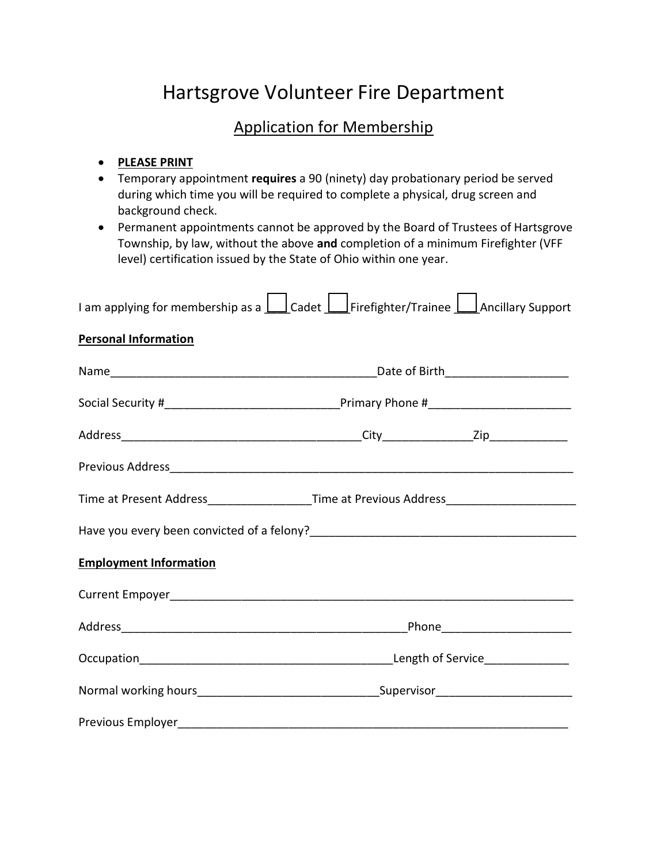# Hartsgrove Volunteer Fire Department

## Application for Membership

### PLEASE PRINT

- Temporary appointment requires a 90 (ninety) day probationary period be served during which time you will be required to complete a physical, drug screen and background check.
- Permanent appointments cannot be approved by the Board of Trustees of Hartsgrove Township, by law, without the above and completion of a minimum Firefighter (VFF level) certification issued by the State of Ohio within one year.

| I am applying for membership as a $\Box$ Cadet $\Box$ Firefighter/Trainee $\Box$ Ancillary Support |  |  |  |
|----------------------------------------------------------------------------------------------------|--|--|--|
| <b>Personal Information</b>                                                                        |  |  |  |
|                                                                                                    |  |  |  |
|                                                                                                    |  |  |  |
|                                                                                                    |  |  |  |
|                                                                                                    |  |  |  |
|                                                                                                    |  |  |  |
|                                                                                                    |  |  |  |
| <b>Employment Information</b>                                                                      |  |  |  |
|                                                                                                    |  |  |  |
|                                                                                                    |  |  |  |
|                                                                                                    |  |  |  |
|                                                                                                    |  |  |  |
|                                                                                                    |  |  |  |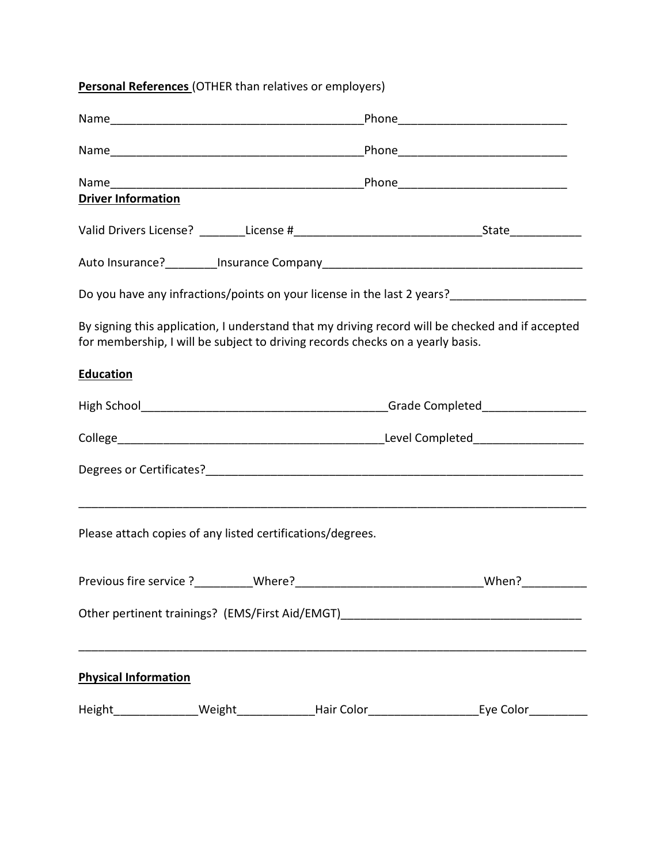### Personal References (OTHER than relatives or employers)

| <b>Driver Information</b>                                  |  |                                                                                |                                                                                                     |  |
|------------------------------------------------------------|--|--------------------------------------------------------------------------------|-----------------------------------------------------------------------------------------------------|--|
|                                                            |  |                                                                                |                                                                                                     |  |
|                                                            |  |                                                                                |                                                                                                     |  |
|                                                            |  |                                                                                | Do you have any infractions/points on your license in the last 2 years?____________________________ |  |
|                                                            |  | for membership, I will be subject to driving records checks on a yearly basis. | By signing this application, I understand that my driving record will be checked and if accepted    |  |
| <b>Education</b>                                           |  |                                                                                |                                                                                                     |  |
|                                                            |  |                                                                                |                                                                                                     |  |
|                                                            |  |                                                                                |                                                                                                     |  |
|                                                            |  |                                                                                |                                                                                                     |  |
| Please attach copies of any listed certifications/degrees. |  |                                                                                |                                                                                                     |  |
|                                                            |  |                                                                                |                                                                                                     |  |
|                                                            |  |                                                                                | Other pertinent trainings? (EMS/First Aid/EMGT)_________________________________                    |  |
| <b>Physical Information</b>                                |  |                                                                                |                                                                                                     |  |
|                                                            |  |                                                                                |                                                                                                     |  |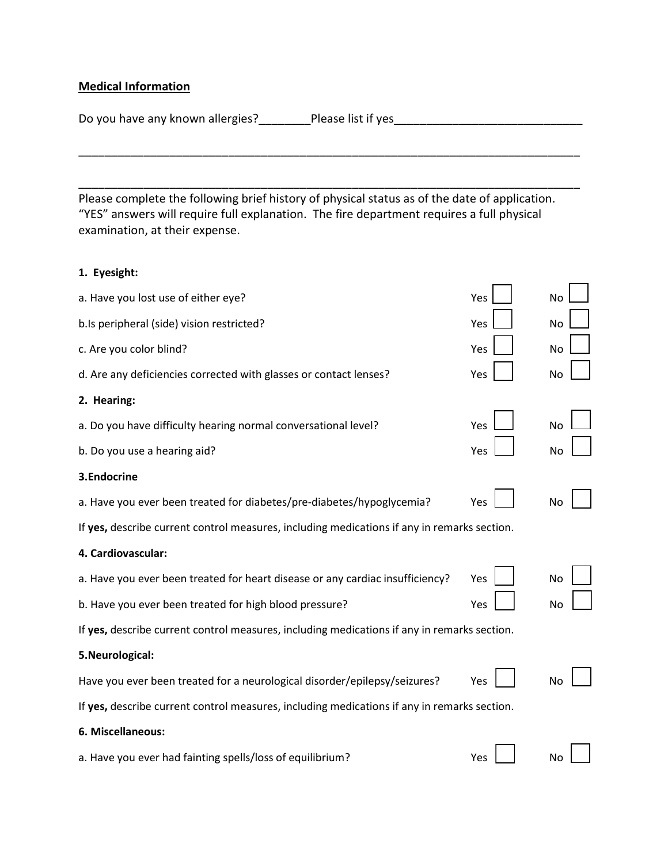### Medical Information

Do you have any known allergies?\_\_\_\_\_\_\_\_\_Please list if yes\_\_\_\_\_\_\_\_\_\_\_\_\_\_\_\_\_\_\_\_\_\_

Please complete the following brief history of physical status as of the date of application. "YES" answers will require full explanation. The fire department requires a full physical examination, at their expense.

\_\_\_\_\_\_\_\_\_\_\_\_\_\_\_\_\_\_\_\_\_\_\_\_\_\_\_\_\_\_\_\_\_\_\_\_\_\_\_\_\_\_\_\_\_\_\_\_\_\_\_\_\_\_\_\_\_\_\_\_\_\_\_\_\_\_\_\_\_\_\_\_\_\_\_\_\_

\_\_\_\_\_\_\_\_\_\_\_\_\_\_\_\_\_\_\_\_\_\_\_\_\_\_\_\_\_\_\_\_\_\_\_\_\_\_\_\_\_\_\_\_\_\_\_\_\_\_\_\_\_\_\_\_\_\_\_\_\_\_\_\_\_\_\_\_\_\_\_\_\_\_\_\_\_

### 1. Eyesight:

| a. Have you lost use of either eye?                                                         | Yes | No        |
|---------------------------------------------------------------------------------------------|-----|-----------|
| b.Is peripheral (side) vision restricted?                                                   | Yes | <b>No</b> |
| c. Are you color blind?                                                                     | Yes | <b>No</b> |
| d. Are any deficiencies corrected with glasses or contact lenses?                           | Yes | <b>No</b> |
| 2. Hearing:                                                                                 |     |           |
| a. Do you have difficulty hearing normal conversational level?                              | Yes | No        |
| b. Do you use a hearing aid?                                                                | Yes | No        |
| 3.Endocrine                                                                                 |     |           |
| a. Have you ever been treated for diabetes/pre-diabetes/hypoglycemia?                       | Yes | No        |
| If yes, describe current control measures, including medications if any in remarks section. |     |           |
| 4. Cardiovascular:                                                                          |     |           |
| a. Have you ever been treated for heart disease or any cardiac insufficiency?               | Yes | No        |
| b. Have you ever been treated for high blood pressure?                                      | Yes | No        |
| If yes, describe current control measures, including medications if any in remarks section. |     |           |
| 5. Neurological:                                                                            |     |           |
| Have you ever been treated for a neurological disorder/epilepsy/seizures?                   | Yes | No        |
| If yes, describe current control measures, including medications if any in remarks section. |     |           |
| 6. Miscellaneous:                                                                           |     |           |
| a. Have you ever had fainting spells/loss of equilibrium?                                   | Yes | No        |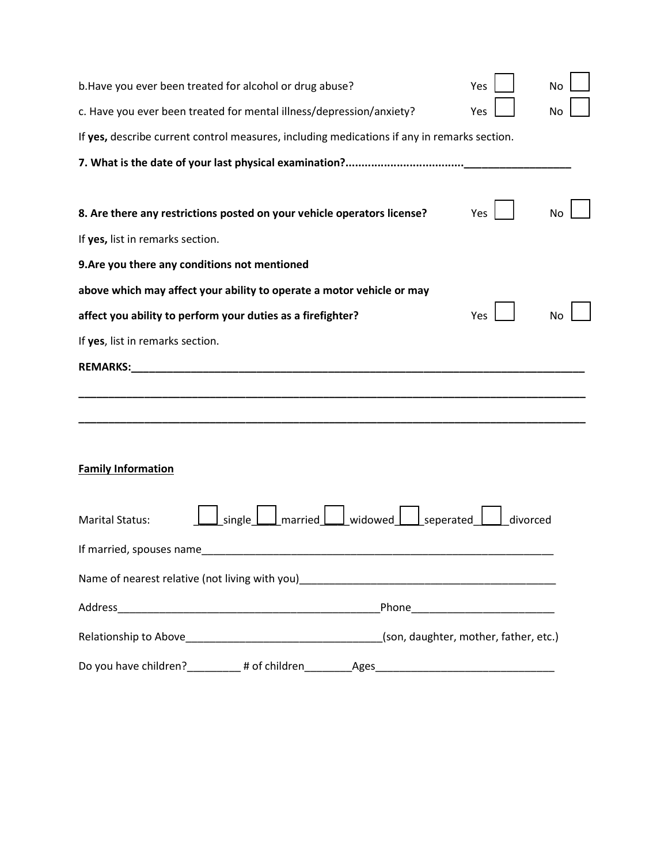| b. Have you ever been treated for alcohol or drug abuse?                                    |                                | Yes      | No |
|---------------------------------------------------------------------------------------------|--------------------------------|----------|----|
| c. Have you ever been treated for mental illness/depression/anxiety?                        |                                | Yes      | No |
| If yes, describe current control measures, including medications if any in remarks section. |                                |          |    |
|                                                                                             |                                |          |    |
|                                                                                             |                                |          |    |
| 8. Are there any restrictions posted on your vehicle operators license?                     |                                | Yes      | No |
| If yes, list in remarks section.                                                            |                                |          |    |
| 9. Are you there any conditions not mentioned                                               |                                |          |    |
| above which may affect your ability to operate a motor vehicle or may                       |                                |          |    |
| affect you ability to perform your duties as a firefighter?                                 |                                | Yes      | No |
| If yes, list in remarks section.                                                            |                                |          |    |
| <b>REMARKS:</b>                                                                             |                                |          |    |
|                                                                                             |                                |          |    |
|                                                                                             |                                |          |    |
|                                                                                             |                                |          |    |
| <b>Family Information</b>                                                                   |                                |          |    |
|                                                                                             |                                |          |    |
| single<br><b>Marital Status:</b>                                                            | $married$ widowed<br>seperated | divorced |    |
| If married, spouses name                                                                    |                                |          |    |
| Name of nearest relative (not living with you)___________________________________           |                                |          |    |
|                                                                                             |                                |          |    |
|                                                                                             |                                |          |    |
|                                                                                             |                                |          |    |